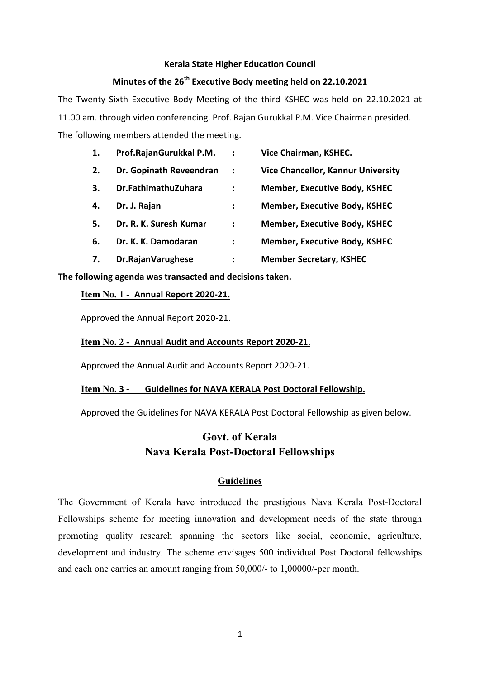#### **Kerala State Higher Education Council**

# **Minutes of the 26th Executive Body meeting held on 22.10.2021**

The Twenty Sixth Executive Body Meeting of the third KSHEC was held on 22.10.2021 at 11.00 am. through video conferencing. Prof. Rajan Gurukkal P.M. Vice Chairman presided. The following members attended the meeting.

| 1. | Prof.RajanGurukkal P.M. | $\ddot{\cdot}$ | Vice Chairman, KSHEC.                     |
|----|-------------------------|----------------|-------------------------------------------|
| 2. | Dr. Gopinath Reveendran | $\ddot{\cdot}$ | <b>Vice Chancellor, Kannur University</b> |
| 3. | Dr.FathimathuZuhara     | :              | <b>Member, Executive Body, KSHEC</b>      |
| 4. | Dr. J. Rajan            | ፡              | <b>Member, Executive Body, KSHEC</b>      |
| 5. | Dr. R. K. Suresh Kumar  | :              | <b>Member, Executive Body, KSHEC</b>      |
| 6. | Dr. K. K. Damodaran     | ፡              | <b>Member, Executive Body, KSHEC</b>      |
| 7. | Dr.RajanVarughese       | ፡              | <b>Member Secretary, KSHEC</b>            |

#### **The following agenda was transacted and decisions taken.**

#### **Item No. 1 - Annual Report 2020-21.**

Approved the Annual Report 2020-21.

#### **Item No. 2 - Annual Audit and Accounts Report 2020-21.**

Approved the Annual Audit and Accounts Report 2020-21.

#### **Item No. 3 - Guidelines for NAVA KERALA Post Doctoral Fellowship.**

Approved the Guidelines for NAVA KERALA Post Doctoral Fellowship as given below.

# **Govt. of Kerala Nava Kerala Post-Doctoral Fellowships**

#### **Guidelines**

The Government of Kerala have introduced the prestigious Nava Kerala Post-Doctoral Fellowships scheme for meeting innovation and development needs of the state through promoting quality research spanning the sectors like social, economic, agriculture, development and industry. The scheme envisages 500 individual Post Doctoral fellowships and each one carries an amount ranging from 50,000/- to 1,00000/-per month.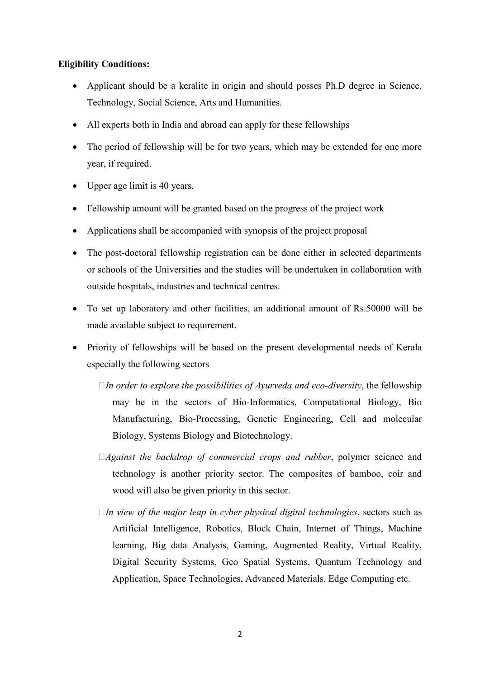## **Eligibility Conditions:**

- Applicant should be a keralite in origin and should posses Ph.D degree in Science, Technology, Social Science, Arts and Humanities.
- All experts both in India and abroad can apply for these fellowships
- The period of fellowship will be for two years, which may be extended for one more year, if required.
- Upper age limit is 40 years.
- Fellowship amount will be granted based on the progress of the project work
- Applications shall be accompanied with synopsis of the project proposal
- The post-doctoral fellowship registration can be done either in selected departments or schools of the Universities and the studies will be undertaken in collaboration with outside hospitals, industries and technical centres.
- To set up laboratory and other facilities, an additional amount of Rs.50000 will be made available subject to requirement.
- Priority of fellowships will be based on the present developmental needs of Kerala especially the following sectors
	- 0*In order to explore the possibilities of Ayurveda and eco-diversity*, the fellowship may be in the sectors of Bio-Informatics, Computational Biology, Bio Manufacturing, Bio-Processing, Genetic Engineering, Cell and molecular Biology, Systems Biology and Biotechnology.
	- 0*Against the backdrop of commercial crops and rubber*, polymer science and technology is another priority sector. The composites of bamboo, coir and wood will also be given priority in this sector.
	- 0*In view of the major leap in cyber physical digital technologies*, sectors such as Artificial Intelligence, Robotics, Block Chain, Internet of Things, Machine learning, Big data Analysis, Gaming, Augmented Reality, Virtual Reality, Digital Security Systems, Geo Spatial Systems, Quantum Technology and Application, Space Technologies, Advanced Materials, Edge Computing etc.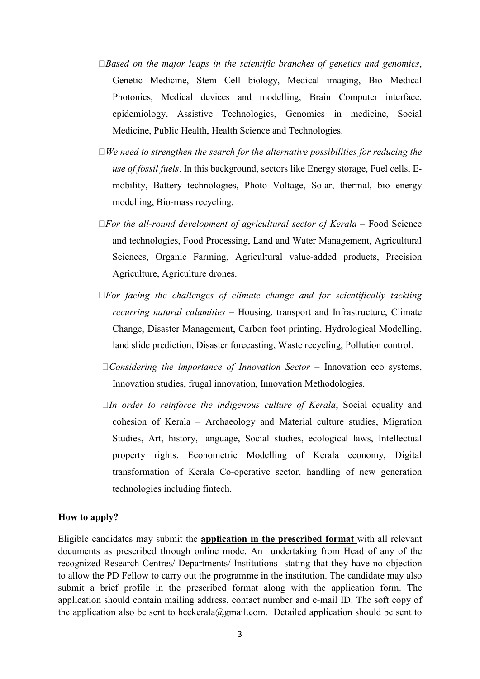- 0*Based on the major leaps in the scientific branches of genetics and genomics*, Genetic Medicine, Stem Cell biology, Medical imaging, Bio Medical Photonics, Medical devices and modelling, Brain Computer interface, epidemiology, Assistive Technologies, Genomics in medicine, Social Medicine, Public Health, Health Science and Technologies.
- 0*We need to strengthen the search for the alternative possibilities for reducing the use of fossil fuels*. In this background, sectors like Energy storage, Fuel cells, Emobility, Battery technologies, Photo Voltage, Solar, thermal, bio energy modelling, Bio-mass recycling.
- 0*For the all-round development of agricultural sector of Kerala* Food Science and technologies, Food Processing, Land and Water Management, Agricultural Sciences, Organic Farming, Agricultural value-added products, Precision Agriculture, Agriculture drones.
- 0*For facing the challenges of climate change and for scientifically tackling recurring natural calamities* – Housing, transport and Infrastructure, Climate Change, Disaster Management, Carbon foot printing, Hydrological Modelling, land slide prediction, Disaster forecasting, Waste recycling, Pollution control.
- 0*Considering the importance of Innovation Sector* Innovation eco systems, Innovation studies, frugal innovation, Innovation Methodologies.
- 0*In order to reinforce the indigenous culture of Kerala*, Social equality and cohesion of Kerala – Archaeology and Material culture studies, Migration Studies, Art, history, language, Social studies, ecological laws, Intellectual property rights, Econometric Modelling of Kerala economy, Digital transformation of Kerala Co-operative sector, handling of new generation technologies including fintech.

#### **How to apply?**

Eligible candidates may submit the **application in the prescribed format** with all relevant documents as prescribed through online mode. An undertaking from Head of any of the recognized Research Centres/ Departments/ Institutions stating that they have no objection to allow the PD Fellow to carry out the programme in the institution. The candidate may also submit a brief profile in the prescribed format along with the application form. The application should contain mailing address, contact number and e-mail ID. The soft copy of the application also be sent to heckerala@gmail.com. Detailed application should be sent to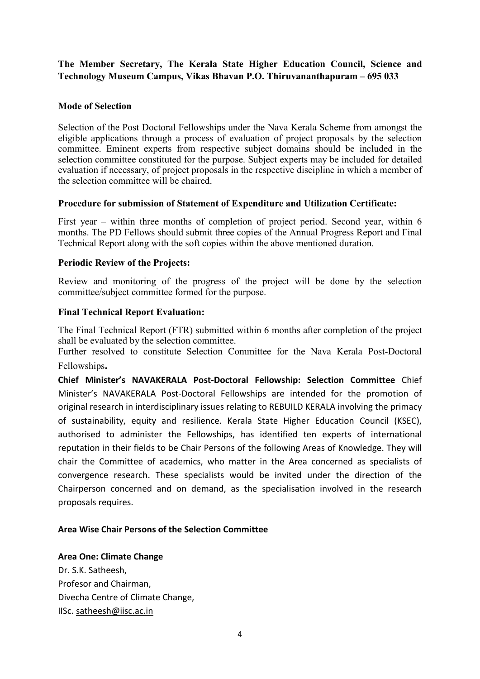## **The Member Secretary, The Kerala State Higher Education Council, Science and Technology Museum Campus, Vikas Bhavan P.O. Thiruvananthapuram – 695 033**

## **Mode of Selection**

Selection of the Post Doctoral Fellowships under the Nava Kerala Scheme from amongst the eligible applications through a process of evaluation of project proposals by the selection committee. Eminent experts from respective subject domains should be included in the selection committee constituted for the purpose. Subject experts may be included for detailed evaluation if necessary, of project proposals in the respective discipline in which a member of the selection committee will be chaired.

#### **Procedure for submission of Statement of Expenditure and Utilization Certificate:**

First year – within three months of completion of project period. Second year, within 6 months. The PD Fellows should submit three copies of the Annual Progress Report and Final Technical Report along with the soft copies within the above mentioned duration.

#### **Periodic Review of the Projects:**

Review and monitoring of the progress of the project will be done by the selection committee/subject committee formed for the purpose.

#### **Final Technical Report Evaluation:**

The Final Technical Report (FTR) submitted within 6 months after completion of the project shall be evaluated by the selection committee.

Further resolved to constitute Selection Committee for the Nava Kerala Post-Doctoral Fellowships**.** 

**Chief Minister's NAVAKERALA Post-Doctoral Fellowship: Selection Committee** Chief Minister's NAVAKERALA Post-Doctoral Fellowships are intended for the promotion of original research in interdisciplinary issues relating to REBUILD KERALA involving the primacy of sustainability, equity and resilience. Kerala State Higher Education Council (KSEC), authorised to administer the Fellowships, has identified ten experts of international reputation in their fields to be Chair Persons of the following Areas of Knowledge. They will chair the Committee of academics, who matter in the Area concerned as specialists of convergence research. These specialists would be invited under the direction of the Chairperson concerned and on demand, as the specialisation involved in the research proposals requires.

#### **Area Wise Chair Persons of the Selection Committee**

**Area One: Climate Change**  Dr. S.K. Satheesh,

Profesor and Chairman, Divecha Centre of Climate Change, IISc. satheesh@iisc.ac.in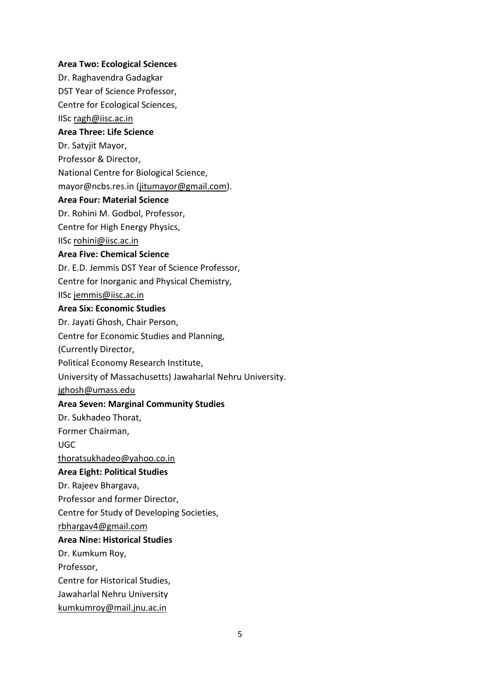#### **Area Two: Ecological Sciences**

Dr. Raghavendra Gadagkar

DST Year of Science Professor,

Centre for Ecological Sciences,

IISc ragh@iisc.ac.in

## **Area Three: Life Science**

Dr. Satyjit Mayor,

Professor & Director,

National Centre for Biological Science,

mayor@ncbs.res.in (jitumayor@gmail.com).

#### **Area Four: Material Science**

Dr. Rohini M. Godbol, Professor,

Centre for High Energy Physics,

IISc rohini@iisc.ac.in

#### **Area Five: Chemical Science**

Dr. E.D. Jemmis DST Year of Science Professor,

Centre for Inorganic and Physical Chemistry,

IISc jemmis@iisc.ac.in

#### **Area Six: Economic Studies**

Dr. Jayati Ghosh, Chair Person,

Centre for Economic Studies and Planning,

(Currently Director,

Political Economy Research Institute,

University of Massachusetts) Jawaharlal Nehru University.

jghosh@umass.edu

## **Area Seven: Marginal Community Studies**

Dr. Sukhadeo Thorat,

Former Chairman,

UGC

thoratsukhadeo@yahoo.co.in

## **Area Eight: Political Studies**

Dr. Rajeev Bhargava,

Professor and former Director,

Centre for Study of Developing Societies,

rbhargav4@gmail.com

## **Area Nine: Historical Studies**

Dr. Kumkum Roy,

Professor,

Centre for Historical Studies,

- Jawaharlal Nehru University
- kumkumroy@mail.jnu.ac.in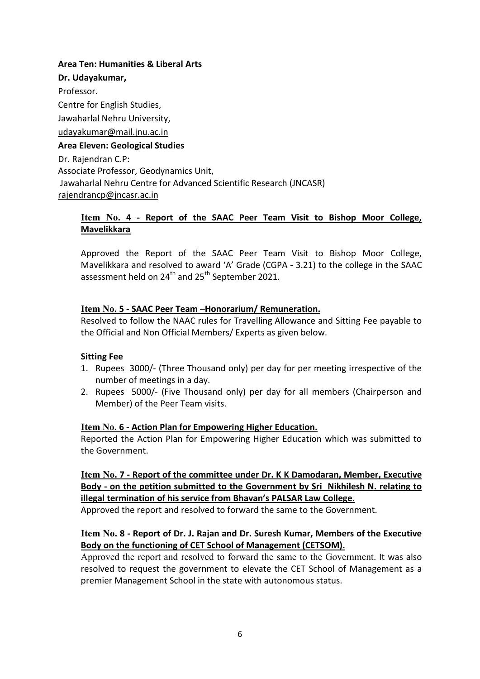#### **Area Ten: Humanities & Liberal Arts**

**Dr. Udayakumar,**  Professor. Centre for English Studies, Jawaharlal Nehru University, udayakumar@mail.jnu.ac.in **Area Eleven: Geological Studies** Dr. Rajendran C.P: Associate Professor, Geodynamics Unit, Jawaharlal Nehru Centre for Advanced Scientific Research (JNCASR) rajendrancp@jncasr.ac.in

## **Item No. 4 - Report of the SAAC Peer Team Visit to Bishop Moor College, Mavelikkara**

Approved the Report of the SAAC Peer Team Visit to Bishop Moor College, Mavelikkara and resolved to award 'A' Grade (CGPA - 3.21) to the college in the SAAC assessment held on 24<sup>th</sup> and 25<sup>th</sup> September 2021.

## **Item No. 5 - SAAC Peer Team –Honorarium/ Remuneration.**

Resolved to follow the NAAC rules for Travelling Allowance and Sitting Fee payable to the Official and Non Official Members/ Experts as given below.

## **Sitting Fee**

- 1. Rupees 3000/- (Three Thousand only) per day for per meeting irrespective of the number of meetings in a day.
- 2. Rupees 5000/- (Five Thousand only) per day for all members (Chairperson and Member) of the Peer Team visits.

## **Item No. 6 - Action Plan for Empowering Higher Education.**

Reported the Action Plan for Empowering Higher Education which was submitted to the Government.

**Item No. 7 - Report of the committee under Dr. K K Damodaran, Member, Executive Body - on the petition submitted to the Government by Sri Nikhilesh N. relating to illegal termination of his service from Bhavan's PALSAR Law College.**

Approved the report and resolved to forward the same to the Government.

## **Item No. 8 - Report of Dr. J. Rajan and Dr. Suresh Kumar, Members of the Executive Body on the functioning of CET School of Management (CETSOM).**

Approved the report and resolved to forward the same to the Government. It was also resolved to request the government to elevate the CET School of Management as a premier Management School in the state with autonomous status.